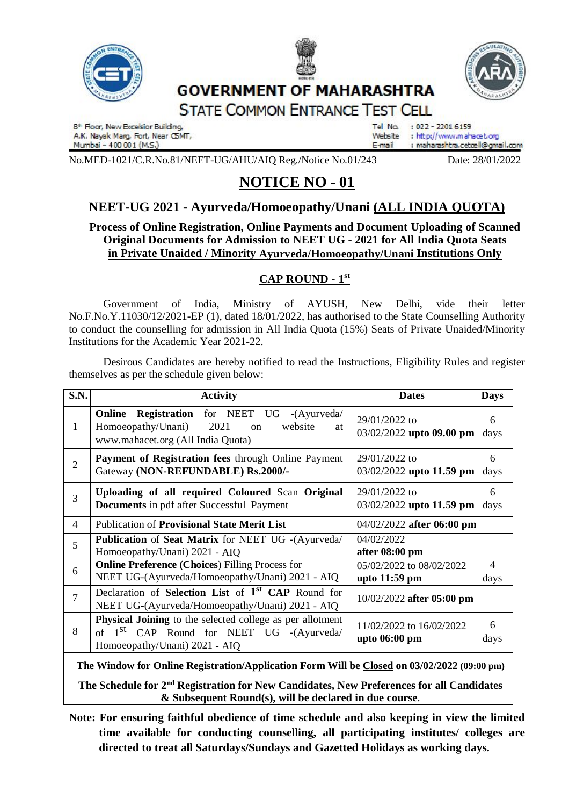



## **GOVERNMENT OF MAHARASHTRA**



**STATE COMMON ENTRANCE TEST CELL** 

8<sup>t</sup> Floor, New Excelsior Building, A.K. Nayak Marg. Fort, Near CSMT, Mumbai - 400 001 (M.S.)

Tel No.  $: 022 - 22016159$ Waheita. : http://www.mahacet.org E-mail : maharashtra.cetœll@qmail.com

No.MED-1021/C.R.No.81/NEET-UG/AHU/AIQ Reg./Notice No.01/243 Date: 28/01/2022

# **NOTICE NO - 01**

### **NEET-UG 2021 - Ayurveda/Homoeopathy/Unani (ALL INDIA QUOTA)**

#### **Process of Online Registration, Online Payments and Document Uploading of Scanned Original Documents for Admission to NEET UG - 2021 for All India Quota Seats in Private Unaided / Minority Ayurveda/Homoeopathy/Unani Institutions Only**

### **CAP ROUND - 1 st**

Government of India, Ministry of AYUSH, New Delhi, vide their letter No.F.No.Y.11030/12/2021-EP (1), dated 18/01/2022, has authorised to the State Counselling Authority to conduct the counselling for admission in All India Quota (15%) Seats of Private Unaided/Minority Institutions for the Academic Year 2021-22.

Desirous Candidates are hereby notified to read the Instructions, Eligibility Rules and register themselves as per the schedule given below:

| <b>S.N.</b>                                                                                 | <b>Activity</b>                                                                                                                                           | <b>Dates</b>                              | <b>Days</b>            |
|---------------------------------------------------------------------------------------------|-----------------------------------------------------------------------------------------------------------------------------------------------------------|-------------------------------------------|------------------------|
| 1                                                                                           | <b>Online Registration</b> for NEET UG -(Ayurveda/<br>Homoeopathy/Unani)<br>2021<br>website<br>on<br>at<br>www.mahacet.org (All India Quota)              | 29/01/2022 to<br>03/02/2022 upto 09.00 pm | 6<br>days              |
| $\overline{2}$                                                                              | Payment of Registration fees through Online Payment<br>Gateway (NON-REFUNDABLE) Rs.2000/-                                                                 | 29/01/2022 to<br>03/02/2022 upto 11.59 pm | 6<br>days              |
| 3                                                                                           | Uploading of all required Coloured Scan Original<br><b>Documents</b> in pdf after Successful Payment                                                      | 29/01/2022 to<br>03/02/2022 upto 11.59 pm | 6<br>days              |
| 4                                                                                           | <b>Publication of Provisional State Merit List</b>                                                                                                        | 04/02/2022 after 06:00 pm                 |                        |
| 5                                                                                           | Publication of Seat Matrix for NEET UG -(Ayurveda/<br>Homoeopathy/Unani) 2021 - AIQ                                                                       | 04/02/2022<br>after 08:00 pm              |                        |
| 6                                                                                           | <b>Online Preference (Choices) Filling Process for</b><br>NEET UG-(Ayurveda/Homoeopathy/Unani) 2021 - AIQ                                                 | 05/02/2022 to 08/02/2022<br>upto 11:59 pm | $\overline{4}$<br>days |
| $\overline{7}$                                                                              | Declaration of Selection List of 1 <sup>st</sup> CAP Round for<br>NEET UG-(Ayurveda/Homoeopathy/Unani) 2021 - AIQ                                         | 10/02/2022 after 05:00 pm                 |                        |
| 8                                                                                           | <b>Physical Joining</b> to the selected college as per allotment<br>of 1 <sup>st</sup> CAP Round for NEET UG -(Ayurveda/<br>Homoeopathy/Unani) 2021 - AIQ | 11/02/2022 to 16/02/2022<br>upto 06:00 pm | 6<br>days              |
| The Window for Opline Registration/Application Form Will be Closed on 03/02/2022 (09:00 pm) |                                                                                                                                                           |                                           |                        |

**The Window for Online Registration/Application Form Will be Closed on 03/02/2022 (09:00 pm)**

The Schedule for 2<sup>nd</sup> Registration for New Candidates, New Preferences for all Candidates **& Subsequent Round(s), will be declared in due course**.

**Note: For ensuring faithful obedience of time schedule and also keeping in view the limited time available for conducting counselling, all participating institutes/ colleges are directed to treat all Saturdays/Sundays and Gazetted Holidays as working days.**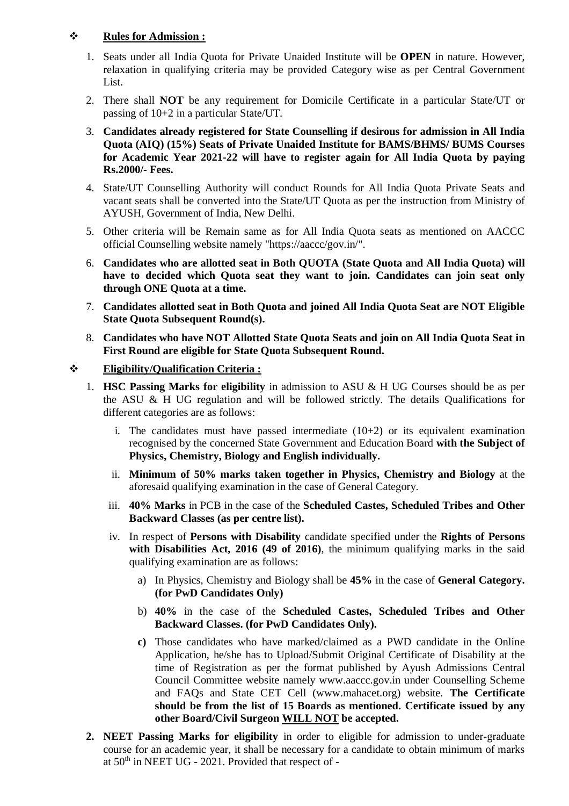#### **Rules for Admission :**

- 1. Seats under all India Quota for Private Unaided Institute will be **OPEN** in nature. However, relaxation in qualifying criteria may be provided Category wise as per Central Government List.
- 2. There shall **NOT** be any requirement for Domicile Certificate in a particular State/UT or passing of 10+2 in a particular State/UT.
- 3. **Candidates already registered for State Counselling if desirous for admission in All India Quota (AIQ) (15%) Seats of Private Unaided Institute for BAMS/BHMS/ BUMS Courses for Academic Year 2021-22 will have to register again for All India Quota by paying Rs.2000/- Fees.**
- 4. State/UT Counselling Authority will conduct Rounds for All India Quota Private Seats and vacant seats shall be converted into the State/UT Quota as per the instruction from Ministry of AYUSH, Government of India, New Delhi.
- 5. Other criteria will be Remain same as for All India Quota seats as mentioned on AACCC official Counselling website namely "https://aaccc/gov.in/".
- 6. **Candidates who are allotted seat in Both QUOTA (State Quota and All India Quota) will have to decided which Quota seat they want to join. Candidates can join seat only through ONE Quota at a time.**
- 7. **Candidates allotted seat in Both Quota and joined All India Quota Seat are NOT Eligible State Quota Subsequent Round(s).**
- 8. **Candidates who have NOT Allotted State Quota Seats and join on All India Quota Seat in First Round are eligible for State Quota Subsequent Round.**

#### **Eligibility/Qualification Criteria :**

- 1. **HSC Passing Marks for eligibility** in admission to ASU & H UG Courses should be as per the ASU  $\&$  H UG regulation and will be followed strictly. The details Qualifications for different categories are as follows:
	- i. The candidates must have passed intermediate  $(10+2)$  or its equivalent examination recognised by the concerned State Government and Education Board **with the Subject of Physics, Chemistry, Biology and English individually.**
	- ii. **Minimum of 50% marks taken together in Physics, Chemistry and Biology** at the aforesaid qualifying examination in the case of General Category.
	- iii. **40% Marks** in PCB in the case of the **Scheduled Castes, Scheduled Tribes and Other Backward Classes (as per centre list).**
	- iv. In respect of **Persons with Disability** candidate specified under the **Rights of Persons with Disabilities Act, 2016 (49 of 2016)**, the minimum qualifying marks in the said qualifying examination are as follows:
		- a) In Physics, Chemistry and Biology shall be **45%** in the case of **General Category. (for PwD Candidates Only)**
		- b) **40%** in the case of the **Scheduled Castes, Scheduled Tribes and Other Backward Classes. (for PwD Candidates Only).**
		- **c)** Those candidates who have marked/claimed as a PWD candidate in the Online Application, he/she has to Upload/Submit Original Certificate of Disability at the time of Registration as per the format published by Ayush Admissions Central Council Committee website namely www.aaccc.gov.in under Counselling Scheme and FAQs and State CET Cell (www.mahacet.org) website. **The Certificate should be from the list of 15 Boards as mentioned. Certificate issued by any other Board/Civil Surgeon WILL NOT be accepted.**
- **2. NEET Passing Marks for eligibility** in order to eligible for admission to under-graduate course for an academic year, it shall be necessary for a candidate to obtain minimum of marks at  $50<sup>th</sup>$  in NEET UG - 2021. Provided that respect of -